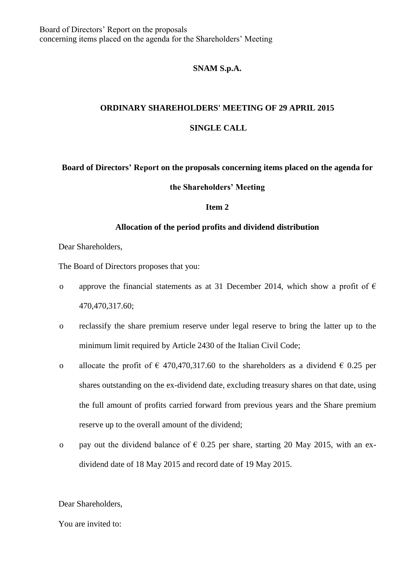## **SNAM S.p.A.**

# **ORDINARY SHAREHOLDERS' MEETING OF 29 APRIL 2015**

### **SINGLE CALL**

# **Board of Directors' Report on the proposals concerning items placed on the agenda for**

#### **the Shareholders' Meeting**

#### **Item 2**

#### **Allocation of the period profits and dividend distribution**

Dear Shareholders,

The Board of Directors proposes that you:

- o approve the financial statements as at 31 December 2014, which show a profit of  $\epsilon$ 470,470,317.60;
- o reclassify the share premium reserve under legal reserve to bring the latter up to the minimum limit required by Article 2430 of the Italian Civil Code;
- o allocate the profit of  $\epsilon$  470,470,317.60 to the shareholders as a dividend  $\epsilon$  0.25 per shares outstanding on the ex-dividend date, excluding treasury shares on that date, using the full amount of profits carried forward from previous years and the Share premium reserve up to the overall amount of the dividend;
- o pay out the dividend balance of  $\epsilon$  0.25 per share, starting 20 May 2015, with an exdividend date of 18 May 2015 and record date of 19 May 2015.

Dear Shareholders,

#### You are invited to: